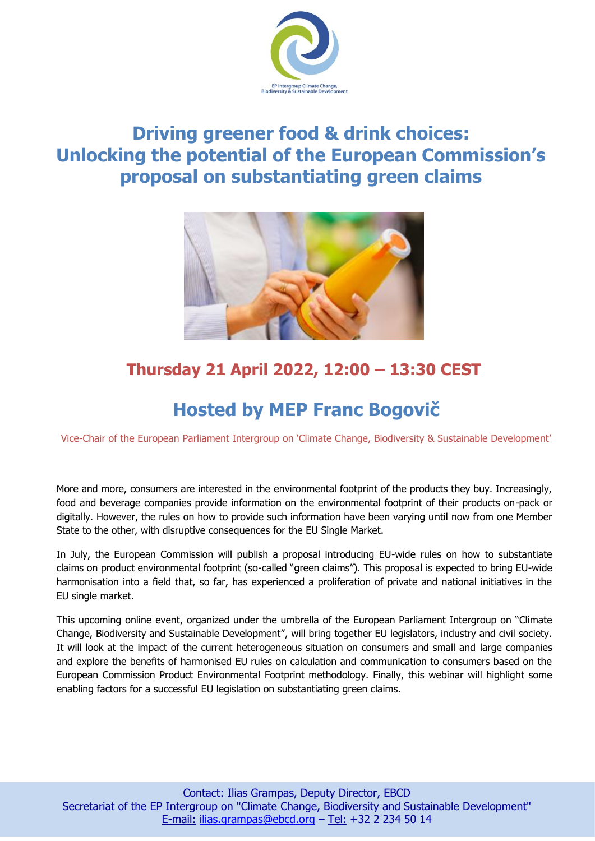

## **Driving greener food & drink choices: Unlocking the potential of the European Commission's proposal on substantiating green claims**



## **Thursday 21 April 2022, 12:00 – 13:30 CEST**

## **Hosted by MEP Franc Bogovič**

Vice-Chair of the European Parliament Intergroup on 'Climate Change, Biodiversity & Sustainable Development'

More and more, consumers are interested in the environmental footprint of the products they buy. Increasingly, food and beverage companies provide information on the environmental footprint of their products on-pack or digitally. However, the rules on how to provide such information have been varying until now from one Member State to the other, with disruptive consequences for the EU Single Market.

In July, the European Commission will publish a proposal introducing EU-wide rules on how to substantiate claims on product environmental footprint (so-called "green claims"). This proposal is expected to bring EU-wide harmonisation into a field that, so far, has experienced a proliferation of private and national initiatives in the EU single market.

This upcoming online event, organized under the umbrella of the European Parliament Intergroup on "Climate Change, Biodiversity and Sustainable Development", will bring together EU legislators, industry and civil society. It will look at the impact of the current heterogeneous situation on consumers and small and large companies and explore the benefits of harmonised EU rules on calculation and communication to consumers based on the European Commission Product Environmental Footprint methodology. Finally, this webinar will highlight some enabling factors for a successful EU legislation on substantiating green claims.

l